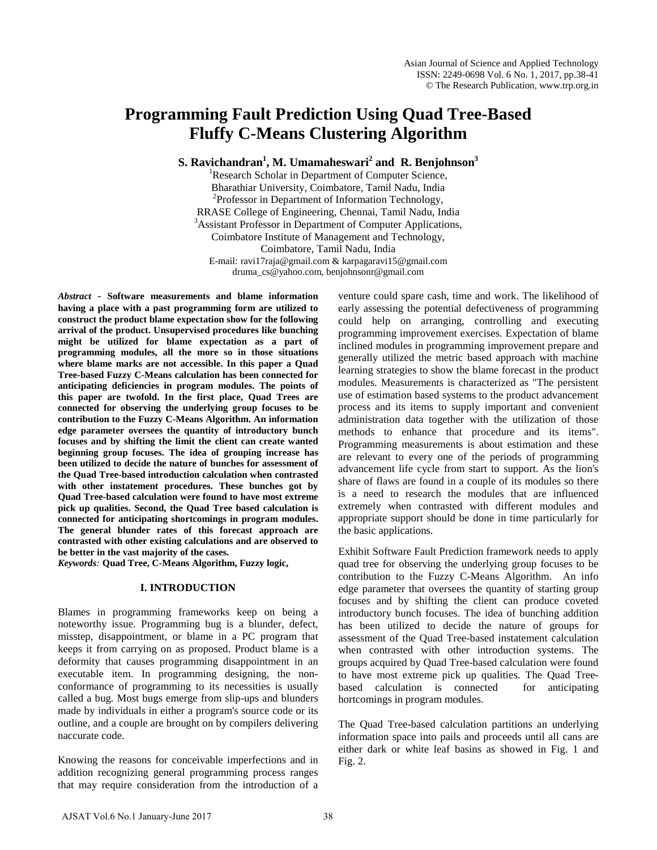# **Programming Fault Prediction Using Quad Tree-Based Fluffy C-Means Clustering Algorithm**

 ${\bf S.}$  Ravichandran<sup>1</sup>, M. Umamaheswari $^2$  and  ${\bf R.}$  Benjohnson $^3$ 

<sup>1</sup>Research Scholar in Department of Computer Science, Bharathiar University, Coimbatore, Tamil Nadu, India <sup>2</sup>  $P<sup>2</sup>$ Professor in Department of Information Technology, RRASE College of Engineering, Chennai, Tamil Nadu, India <sup>3</sup>  $3$ Assistant Professor in Department of Computer Applications, Coimbatore Institute of Management and Technology, Coimbatore, Tamil Nadu, India E-mail: [ravi17raja@gmail.com](mailto:ravi17raja@gmail.com) & [karpagaravi15@gmail.com](mailto:karpagaravi15@gmail.com) [druma\\_cs@yahoo.com,](mailto:druma_cs@yahoo.com) [benjohnsonr@gmail.com](mailto:benjohnsonr@gmail.com)

*Abstract* - **Software measurements and blame information having a place with a past programming form are utilized to construct the product blame expectation show for the following arrival of the product. Unsupervised procedures like bunching might be utilized for blame expectation as a part of programming modules, all the more so in those situations where blame marks are not accessible. In this paper a Quad Tree-based Fuzzy C-Means calculation has been connected for anticipating deficiencies in program modules. The points of this paper are twofold. In the first place, Quad Trees are connected for observing the underlying group focuses to be contribution to the Fuzzy C-Means Algorithm. An information edge parameter oversees the quantity of introductory bunch focuses and by shifting the limit the client can create wanted beginning group focuses. The idea of grouping increase has been utilized to decide the nature of bunches for assessment of the Quad Tree-based introduction calculation when contrasted with other instatement procedures. These bunches got by Quad Tree-based calculation were found to have most extreme pick up qualities. Second, the Quad Tree based calculation is connected for anticipating shortcomings in program modules. The general blunder rates of this forecast approach are contrasted with other existing calculations and are observed to be better in the vast majority of the cases.**

*Keywords:* **Quad Tree, C-Means Algorithm, Fuzzy logic,** 

# **I. INTRODUCTION**

Blames in programming frameworks keep on being a noteworthy issue. Programming bug is a blunder, defect, misstep, disappointment, or blame in a PC program that keeps it from carrying on as proposed. Product blame is a deformity that causes programming disappointment in an executable item. In programming designing, the nonconformance of programming to its necessities is usually called a bug. Most bugs emerge from slip-ups and blunders made by individuals in either a program's source code or its outline, and a couple are brought on by compilers delivering naccurate code.

Knowing the reasons for conceivable imperfections and in addition recognizing general programming process ranges that may require consideration from the introduction of a venture could spare cash, time and work. The likelihood of early assessing the potential defectiveness of programming could help on arranging, controlling and executing programming improvement exercises. Expectation of blame inclined modules in programming improvement prepare and generally utilized the metric based approach with machine learning strategies to show the blame forecast in the product modules. Measurements is characterized as "The persistent use of estimation based systems to the product advancement process and its items to supply important and convenient administration data together with the utilization of those methods to enhance that procedure and its items". Programming measurements is about estimation and these are relevant to every one of the periods of programming advancement life cycle from start to support. As the lion's share of flaws are found in a couple of its modules so there is a need to research the modules that are influenced extremely when contrasted with different modules and appropriate support should be done in time particularly for the basic applications.

Exhibit Software Fault Prediction framework needs to apply quad tree for observing the underlying group focuses to be contribution to the Fuzzy C-Means Algorithm. An info edge parameter that oversees the quantity of starting group focuses and by shifting the client can produce coveted introductory bunch focuses. The idea of bunching addition has been utilized to decide the nature of groups for assessment of the Quad Tree-based instatement calculation when contrasted with other introduction systems. The groups acquired by Quad Tree-based calculation were found to have most extreme pick up qualities. The Quad Treebased calculation is connected for anticipating hortcomings in program modules.

The Quad Tree-based calculation partitions an underlying information space into pails and proceeds until all cans are either dark or white leaf basins as showed in Fig. 1 and Fig. 2.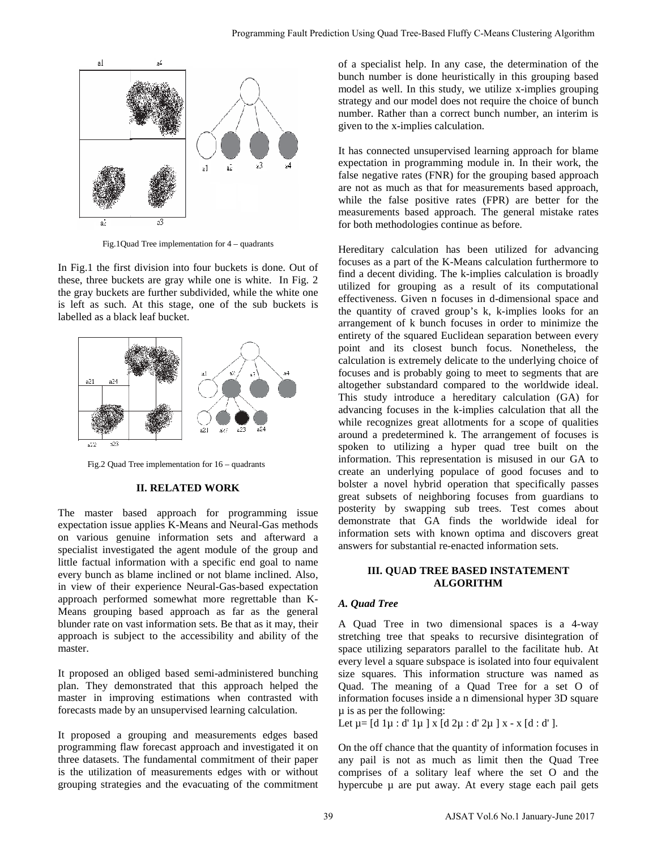

Fig.1Quad Tree implementation for 4 – quadrants

In Fig.1 the first division into four buckets is done. Out of these, three buckets are gray while one is white. In Fig. 2 the gray buckets are further subdivided, while the white one is left as such. At this stage, one of the sub buckets is labelled as a black leaf bucket.



Fig.2 Quad Tree implementation for 16 – quadrants

#### **II. RELATED WORK**

The master based approach for programming issue expectation issue applies K-Means and Neural-Gas methods on various genuine information sets and afterward a specialist investigated the agent module of the group and little factual information with a specific end goal to name every bunch as blame inclined or not blame inclined. Also, in view of their experience Neural-Gas-based expectation approach performed somewhat more regrettable than K-Means grouping based approach as far as the general blunder rate on vast information sets. Be that as it may, their approach is subject to the accessibility and ability of the master.

It proposed an obliged based semi-administered bunching plan. They demonstrated that this approach helped the master in improving estimations when contrasted with forecasts made by an unsupervised learning calculation.

It proposed a grouping and measurements edges based programming flaw forecast approach and investigated it on three datasets. The fundamental commitment of their paper is the utilization of measurements edges with or without grouping strategies and the evacuating of the commitment of a specialist help. In any case, the determination of the bunch number is done heuristically in this grouping based model as well. In this study, we utilize x-implies grouping strategy and our model does not require the choice of bunch number. Rather than a correct bunch number, an interim is given to the x-implies calculation.

It has connected unsupervised learning approach for blame expectation in programming module in. In their work, the false negative rates (FNR) for the grouping based approach are not as much as that for measurements based approach, while the false positive rates (FPR) are better for the measurements based approach. The general mistake rates for both methodologies continue as before.

Hereditary calculation has been utilized for advancing focuses as a part of the K-Means calculation furthermore to find a decent dividing. The k-implies calculation is broadly utilized for grouping as a result of its computational effectiveness. Given n focuses in d-dimensional space and the quantity of craved group's k, k-implies looks for an arrangement of k bunch focuses in order to minimize the entirety of the squared Euclidean separation between every point and its closest bunch focus. Nonetheless, the calculation is extremely delicate to the underlying choice of focuses and is probably going to meet to segments that are altogether substandard compared to the worldwide ideal. This study introduce a hereditary calculation (GA) for advancing focuses in the k-implies calculation that all the while recognizes great allotments for a scope of qualities around a predetermined k. The arrangement of focuses is spoken to utilizing a hyper quad tree built on the information. This representation is misused in our GA to create an underlying populace of good focuses and to bolster a novel hybrid operation that specifically passes great subsets of neighboring focuses from guardians to posterity by swapping sub trees. Test comes about demonstrate that GA finds the worldwide ideal for information sets with known optima and discovers great answers for substantial re-enacted information sets. Programming Tank Production Using Quad Tree-Based Flufty Coldman Clustering Algorithm<br>
or a special and solve that studies a single particular or the control of the studies are the control of the studies of the filter or

# **III. QUAD TREE BASED INSTATEMENT ALGORITHM**

# *A. Quad Tree*

A Quad Tree in two dimensional spaces is a 4-way stretching tree that speaks to recursive disintegration of space utilizing separators parallel to the facilitate hub. At every level a square subspace is isolated into four equivalent size squares. This information structure was named as Quad. The meaning of a Quad Tree for a set O of information focuses inside a n dimensional hyper 3D square µ is as per the following:

Let  $\mu = [d \, 1\mu : d' \, 1\mu]$  x  $[d \, 2\mu : d' \, 2\mu]$  x - x  $[d : d']$ .

On the off chance that the quantity of information focuses in any pail is not as much as limit then the Quad Tree comprises of a solitary leaf where the set O and the hypercube  $\mu$  are put away. At every stage each pail gets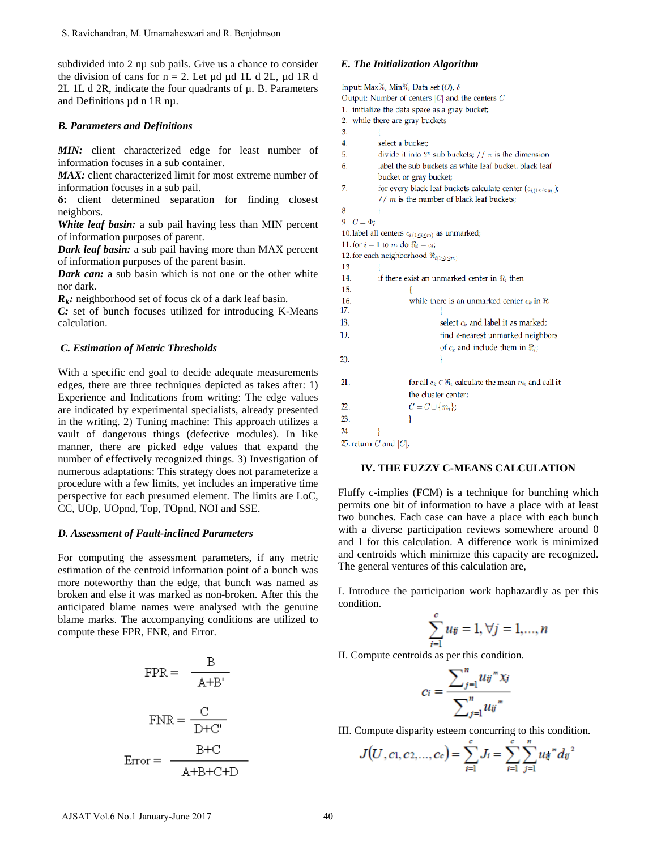subdivided into 2 nu sub pails. Give us a chance to consider the division of cans for  $n = 2$ . Let ud ud 1L d 2L, ud 1R d 2L 1L d 2R, indicate the four quadrants of µ. B. Parameters and Definitions µd n 1R nµ.

### *B. Parameters and Definitions*

MIN: client characterized edge for least number of information focuses in a sub container.

MAX: client characterized limit for most extreme number of information focuses in a sub pail.

**δ:** client determined separation for finding closest neighbors.

*White leaf basin:* a sub pail having less than MIN percent of information purposes of parent.

*Dark leaf basin:* a sub pail having more than MAX percent of information purposes of the parent basin.

*Dark can:* a sub basin which is not one or the other white nor dark.

 $R_k$ : neighborhood set of focus ck of a dark leaf basin.

*C:* set of bunch focuses utilized for introducing K-Means calculation.

#### *C. Estimation of Metric Thresholds*

With a specific end goal to decide adequate measurements edges, there are three techniques depicted as takes after: 1) Experience and Indications from writing: The edge values are indicated by experimental specialists, already presented in the writing. 2) Tuning machine: This approach utilizes a vault of dangerous things (defective modules). In like manner, there are picked edge values that expand the number of effectively recognized things. 3) Investigation of numerous adaptations: This strategy does not parameterize a procedure with a few limits, yet includes an imperative time perspective for each presumed element. The limits are LoC, CC, UOp, UOpnd, Top, TOpnd, NOI and SSE. S. Ravichandran, M. Umamaheswari and R. Benjohnson<br>
and Norided into 2 ng usb paisis Give us a chance to consider<br>
be division of came for n = 2. Let  $\mu$  td  $\mu$  at 21,  $\mu$  d IR d<br>
L. L. L. d. 2R, indicate the four quad

#### *D. Assessment of Fault-inclined Parameters*

For computing the assessment parameters, if any metric estimation of the centroid information point of a bunch was more noteworthy than the edge, that bunch was named as broken and else it was marked as non-broken. After this the anticipated blame names were analysed with the genuine blame marks. The accompanying conditions are utilized to compute these FPR, FNR, and Error.

$$
FPR = \frac{B}{A+B'}
$$

$$
FNR = \frac{C}{D+C'}
$$

$$
Error = \frac{B+C}{A+B+C+D}
$$

#### *E. The Initialization Algorithm*

Input: Max%, Min%, Data set (O),  $\delta$ Output: Number of centers  $|C|$  and the centers  $C$ 1. initialize the data space as a gray bucket; 2. while there are gray buckets  $\overline{3}$ .  $\overline{4}$ . select a bucket:  $\overline{5}$ . divide it into  $2^n$  sub buckets:  $// n$  is the dimension label the sub buckets as white leaf bucket, black leaf 6. bucket or gray bucket; 7. for every black leaf buckets calculate center  $(c_{i,(1 \leq i \leq m)})$ ;  $// m$  is the number of black leaf buckets: 8.  $\mathbf{1}$ 9.  $C = \Phi$ : 10. label all centers  $c_{i,(1 \leq i \leq m)}$  as unmarked; 11. for  $i = 1$  to  $m$  do  $\Re_i = c_{ij}$ 12. for each neighborhood  $\Re_{i(1\leq i\leq m)}$ 13. T 14. if there exist an unmarked center in  $\Re_i$  then 15.  $\left\{ \right.$ 16. while there is an unmarked center  $c_k$  in  $\Re_i$ 17 18. select  $c_k$  and label it as marked; 19. find  $\delta$ -nearest unmarked neighbors of  $c_k$  and include them in  $\Re_i$ ; 20.  $21.$ for all  $c_k \in \Re_i$  calculate the mean  $m_i$  and call it the cluster center;  $22.$  $C = C \cup \{m_i\};$ 23. ₹ 24. 25. return  $C$  and  $|C|$ ;

# **IV. THE FUZZY C-MEANS CALCULATION**

Fluffy c-implies (FCM) is a technique for bunching which permits one bit of information to have a place with at least two bunches. Each case can have a place with each bunch with a diverse participation reviews somewhere around 0 and 1 for this calculation. A difference work is minimized and centroids which minimize this capacity are recognized. The general ventures of this calculation are,

I. Introduce the participation work haphazardly as per this condition.

$$
\sum_{i=1}^{c} u_{ij} = 1, \forall j = 1,...,n
$$

II. Compute centroids as per this condition.

$$
c_i = \frac{\sum_{j=1}^n u_{ij}^m x_j}{\sum_{j=1}^n u_{ij}^m}
$$

III. Compute disparity esteem concurring to this condition.

$$
J(U, c_1, c_2,..., c_c) = \sum_{i=1}^{c} J_i = \sum_{i=1}^{c} \sum_{j=1}^{n} u_{ij}^{w} d_{ij}^{2}
$$